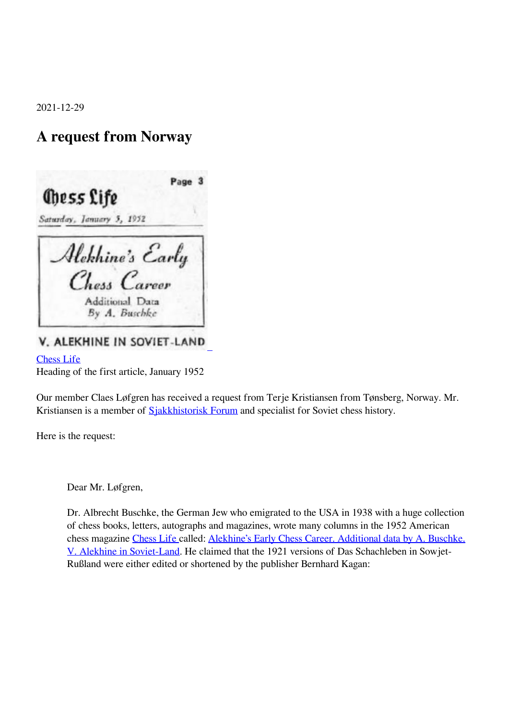2021-12-29

## **A request from Norway**



V. ALEKHINE IN SOVIET-LAND

[Chess Life](https://new.uschess.org/chess-life-digital-archives)

Heading of the first article, January 1952

Our member Claes Løfgren has received a request from Terje Kristiansen from Tønsberg, Norway. Mr. Kristiansen is a member of [Sjakkhistorisk Forum](https://sjakkhistorie.no/category/sjakkhistorisk-forum/) and specialist for Soviet chess history.

 $\overline{\phantom{a}}$ 

Here is the request:

Dear Mr. Løfgren,

Dr. Albrecht Buschke, the German Jew who emigrated to the USA in 1938 with a huge collection of chess books, letters, autographs and magazines, wrote many columns in the 1952 American chess magazine [Chess Life](https://new.uschess.org/chess-life-digital-archives) [c](https://new.uschess.org/chess-life-digital-archives)alled: [Alekhine's Early Chess Career. Additional data by A. Buschke.](http://uscf1-nyc1.aodhosting.com/CL-AND-CR-ALL/CL-ALL/1952/) [V. Alekhine in Soviet-Land](http://uscf1-nyc1.aodhosting.com/CL-AND-CR-ALL/CL-ALL/1952/). He claimed that the 1921 versions of Das Schachleben in Sowjet-Rußland were either edited or shortened by the publisher Bernhard Kagan: